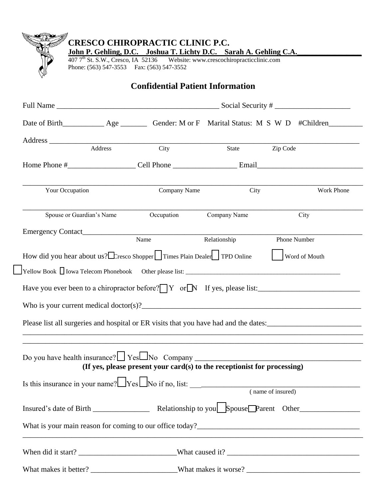|                           | Phone: (563) 547-3553 Fax: (563) 547-3552 | John P. Gehling, D.C. Joshua T. Lichty D.C. Sarah A. Gehling C.A.<br>407 7 <sup>th</sup> St. S.W., Cresco, IA 52136 Website: www.crescochiropracticclinic.com |              |                                                                                                                                            |  |
|---------------------------|-------------------------------------------|---------------------------------------------------------------------------------------------------------------------------------------------------------------|--------------|--------------------------------------------------------------------------------------------------------------------------------------------|--|
|                           |                                           | <b>Confidential Patient Information</b>                                                                                                                       |              |                                                                                                                                            |  |
|                           |                                           |                                                                                                                                                               |              |                                                                                                                                            |  |
|                           |                                           |                                                                                                                                                               |              |                                                                                                                                            |  |
|                           |                                           |                                                                                                                                                               | State        | Zip Code                                                                                                                                   |  |
|                           |                                           |                                                                                                                                                               |              |                                                                                                                                            |  |
| Your Occupation           |                                           | Company Name                                                                                                                                                  | City         | Work Phone                                                                                                                                 |  |
| Spouse or Guardian's Name |                                           | Occupation                                                                                                                                                    | Company Name | City                                                                                                                                       |  |
|                           |                                           |                                                                                                                                                               |              |                                                                                                                                            |  |
|                           |                                           |                                                                                                                                                               |              |                                                                                                                                            |  |
|                           |                                           | Emergency Contact<br>Name Relationship                                                                                                                        |              | Phone Number                                                                                                                               |  |
|                           |                                           | How did you hear about us? Express Shopper Times Plain Dealer TPD Online                                                                                      |              | Word of Mouth                                                                                                                              |  |
|                           |                                           |                                                                                                                                                               |              |                                                                                                                                            |  |
|                           |                                           |                                                                                                                                                               |              | Have you ever been to a chiropractor before? $\boxed{Y}$ or $\boxed{N}$ If yes, please list:                                               |  |
|                           |                                           |                                                                                                                                                               |              |                                                                                                                                            |  |
|                           |                                           | Who is your current medical doctor(s)?                                                                                                                        |              |                                                                                                                                            |  |
|                           |                                           |                                                                                                                                                               |              | Please list all surgeries and hospital or ER visits that you have had and the dates:                                                       |  |
|                           |                                           |                                                                                                                                                               |              | Do you have health insurance? $\Box$ Yes $\Box$ No Company $\Box$ (If yes, please present your card(s) to the receptionist for processing) |  |
|                           |                                           |                                                                                                                                                               |              |                                                                                                                                            |  |
|                           |                                           |                                                                                                                                                               |              | Is this insurance in your name? $\Box$ Yes $\Box$ No if no, list: $\Box$ (name of insured)                                                 |  |
|                           |                                           |                                                                                                                                                               |              |                                                                                                                                            |  |
|                           |                                           |                                                                                                                                                               |              |                                                                                                                                            |  |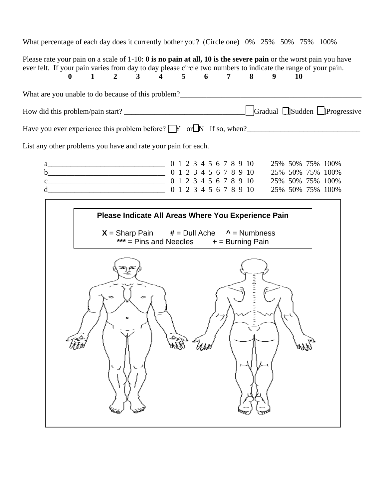What percentage of each day does it currently bother you? (Circle one) 0% 25% 50% 75% 100% Please rate your pain on a scale of 1-10: **0 is no pain at all, 10 is the severe pain** or the worst pain you have ever felt. If your pain varies from day to day please circle two numbers to indicate the range of your pain. **0 1 2 3 4 5 6 7 8 9 10**  What are you unable to do because of this problem?\_\_\_\_\_\_\_\_\_\_\_\_\_\_\_\_\_\_\_\_\_\_\_\_\_\_\_\_\_\_\_ How did this problem/pain start? \_\_\_\_\_\_\_\_\_\_\_\_\_\_\_\_\_\_\_\_\_\_\_\_\_\_\_\_\_\_\_\_ [ ]Gradual [ ]Sudden [ ]Progressive Have you ever experience this problem before?  $\Box Y$  or  $\Box N$  If so, when? List any other problems you have and rate your pain for each. a a contract to the 0 1 2 3 4 5 6 7 8 9 10 25% 50% 75% 100% b\_\_\_\_\_\_\_\_\_\_\_\_\_\_\_\_\_\_\_\_\_\_\_\_\_\_\_\_\_\_\_ 0 1 2 3 4 5 6 7 8 9 10 25% 50% 75% 100% c\_\_\_\_\_\_\_\_\_\_\_\_\_\_\_\_\_\_\_\_\_\_\_\_\_\_\_\_\_\_\_ 0 1 2 3 4 5 6 7 8 9 10 25% 50% 75% 100% d\_\_\_\_\_\_\_\_\_\_\_\_\_\_\_\_\_\_\_\_\_\_\_\_\_\_\_\_\_\_\_ 0 1 2 3 4 5 6 7 8 9 10 25% 50% 75% 100% **Please Indicate All Areas Where You Experience Pain**  $X =$  Sharp Pain  $\# =$  Dull Ache  $\land$  = Numbness **\*\*\*** = Pins and Needles **+** = Burning Painen<br>Utilit 蝬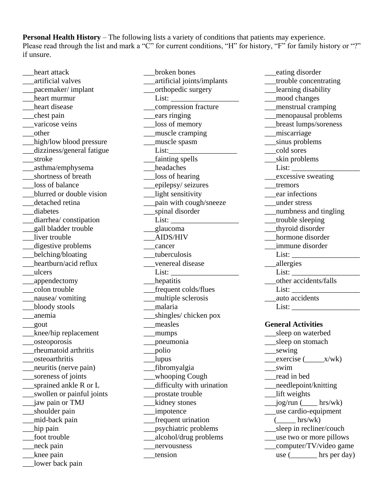**Personal Health History** – The following lists a variety of conditions that patients may experience. Please read through the list and mark a "C" for current conditions, "H" for history, "F" for family history or "?" if unsure.

\_\_\_broken bones

\_\_\_heart attack \_\_\_artificial valves \_\_\_pacemaker/ implant \_\_\_heart murmur heart disease \_\_\_chest pain varicose veins \_\_\_other \_\_\_high/low blood pressure \_\_\_dizziness/general fatigue \_\_\_stroke \_\_\_asthma/emphysema \_\_\_shortness of breath \_\_\_loss of balance \_\_\_blurred or double vision \_\_\_detached retina \_\_\_diabetes \_\_\_diarrhea/ constipation \_\_\_gall bladder trouble liver trouble \_\_\_digestive problems \_\_\_belching/bloating heartburn/acid reflux \_\_\_ulcers \_\_\_appendectomy \_\_\_colon trouble \_\_\_nausea/ vomiting \_\_\_bloody stools \_\_\_anemia \_\_\_gout \_\_\_knee/hip replacement \_\_\_osteoporosis \_\_\_rheumatoid arthritis \_\_\_osteoarthritis \_\_\_neuritis (nerve pain) \_\_\_soreness of joints \_\_\_sprained ankle R or L \_\_\_swollen or painful joints \_\_\_jaw pain or TMJ \_\_shoulder pain \_\_\_mid-back pain \_\_\_hip pain \_\_\_foot trouble \_\_\_neck pain \_\_\_knee pain lower back pain

\_\_\_artificial joints/implants \_\_\_orthopedic surgery List: \_\_\_compression fracture \_\_\_ears ringing \_\_\_loss of memory \_\_\_muscle cramping \_\_\_muscle spasm List: \_\_\_fainting spells headaches loss of hearing \_\_\_epilepsy/ seizures \_\_\_light sensitivity \_\_\_pain with cough/sneeze \_\_\_spinal disorder List: \_\_\_glaucoma \_\_\_AIDS/HIV \_\_\_cancer tuberculosis \_\_\_venereal disease List: hepatitis \_\_\_frequent colds/flues \_\_\_multiple sclerosis \_\_\_malaria shingles/ chicken pox \_\_\_measles \_\_\_mumps \_\_\_pneumonia \_\_\_polio \_\_\_lupus \_\_\_fibromyalgia whooping Cough \_\_\_difficulty with urination \_\_\_prostate trouble kidney stones \_\_\_impotence \_\_\_frequent urination \_\_\_psychiatric problems \_\_\_alcohol/drug problems \_\_\_nervousness \_\_\_tension

\_\_\_eating disorder \_\_\_trouble concentrating \_\_\_learning disability \_\_\_mood changes \_\_\_menstrual cramping \_\_\_menopausal problems \_\_\_breast lumps/soreness \_\_\_miscarriage \_\_\_sinus problems \_\_\_cold sores \_\_\_skin problems List: \_\_\_excessive sweating \_\_\_tremors \_\_\_ear infections \_\_\_under stress \_\_\_numbness and tingling \_\_\_trouble sleeping \_\_\_thyroid disorder hormone disorder \_\_\_immune disorder List: \_\_\_allergies  $List:$ \_\_\_other accidents/falls List: \_\_\_auto accidents List: \_\_\_\_\_\_\_\_\_\_\_\_\_\_\_\_\_\_ **General Activities**  \_\_\_sleep on waterbed \_\_sleep on stomach \_\_\_sewing  $\_$ exercise  $($ *\_\_\_\_\_*x/wk) \_\_\_swim \_\_\_read in bed \_\_\_needlepoint/knitting

- \_\_\_lift weights
- $\qquad \qquad$   $\qquad \qquad$  jog/run ( $\qquad \qquad$  hrs/wk) \_\_\_use cardio-equipment
	- $\frac{\text{Brs}}{\text{wk}}$
- \_\_sleep in recliner/couch
- \_\_\_use two or more pillows
- \_\_\_computer/TV/video game
	- use ( hrs per day)